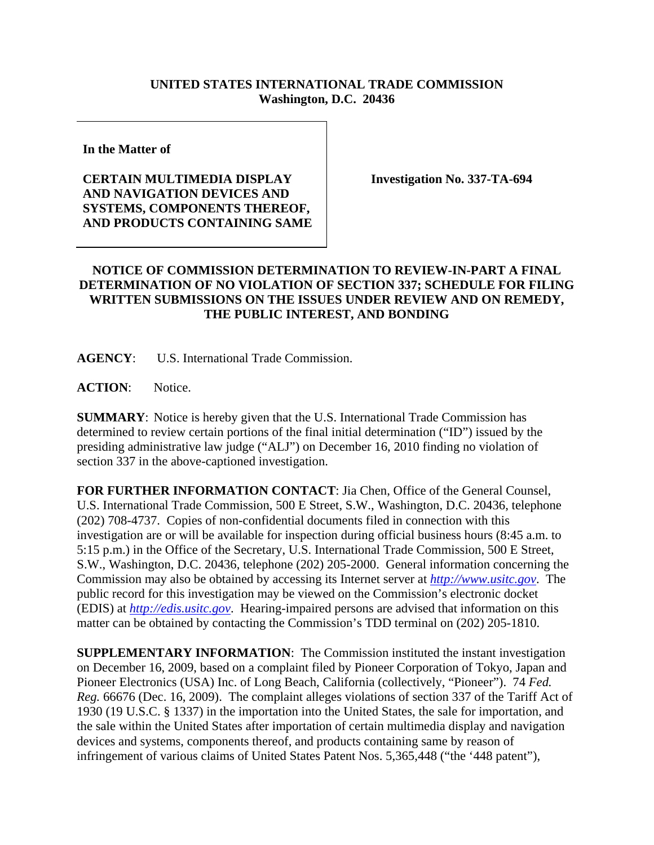## **UNITED STATES INTERNATIONAL TRADE COMMISSION Washington, D.C. 20436**

**In the Matter of** 

## **CERTAIN MULTIMEDIA DISPLAY AND NAVIGATION DEVICES AND SYSTEMS, COMPONENTS THEREOF, AND PRODUCTS CONTAINING SAME**

**Investigation No. 337-TA-694** 

## **NOTICE OF COMMISSION DETERMINATION TO REVIEW-IN-PART A FINAL DETERMINATION OF NO VIOLATION OF SECTION 337; SCHEDULE FOR FILING WRITTEN SUBMISSIONS ON THE ISSUES UNDER REVIEW AND ON REMEDY, THE PUBLIC INTEREST, AND BONDING**

**AGENCY**: U.S. International Trade Commission.

**ACTION**: Notice.

**SUMMARY**: Notice is hereby given that the U.S. International Trade Commission has determined to review certain portions of the final initial determination ("ID") issued by the presiding administrative law judge ("ALJ") on December 16, 2010 finding no violation of section 337 in the above-captioned investigation.

**FOR FURTHER INFORMATION CONTACT**: Jia Chen, Office of the General Counsel, U.S. International Trade Commission, 500 E Street, S.W., Washington, D.C. 20436, telephone (202) 708-4737. Copies of non-confidential documents filed in connection with this investigation are or will be available for inspection during official business hours (8:45 a.m. to 5:15 p.m.) in the Office of the Secretary, U.S. International Trade Commission, 500 E Street, S.W., Washington, D.C. 20436, telephone (202) 205-2000. General information concerning the Commission may also be obtained by accessing its Internet server at *http://www.usitc.gov*. The public record for this investigation may be viewed on the Commission's electronic docket (EDIS) at *http://edis.usitc.gov*. Hearing-impaired persons are advised that information on this matter can be obtained by contacting the Commission's TDD terminal on (202) 205-1810.

**SUPPLEMENTARY INFORMATION**: The Commission instituted the instant investigation on December 16, 2009, based on a complaint filed by Pioneer Corporation of Tokyo, Japan and Pioneer Electronics (USA) Inc. of Long Beach, California (collectively, "Pioneer"). 74 *Fed. Reg.* 66676 (Dec. 16, 2009). The complaint alleges violations of section 337 of the Tariff Act of 1930 (19 U.S.C. § 1337) in the importation into the United States, the sale for importation, and the sale within the United States after importation of certain multimedia display and navigation devices and systems, components thereof, and products containing same by reason of infringement of various claims of United States Patent Nos. 5,365,448 ("the '448 patent"),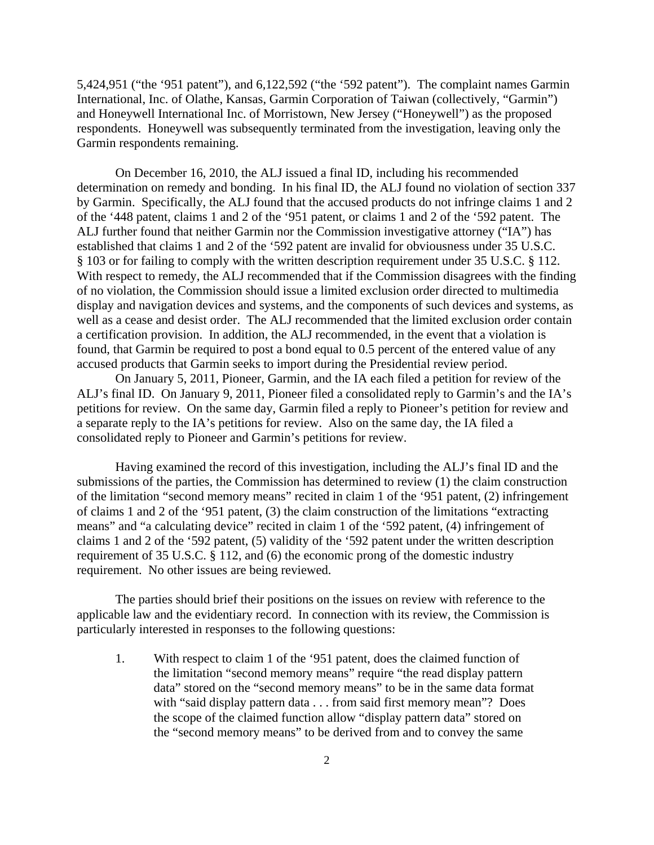5,424,951 ("the '951 patent"), and 6,122,592 ("the '592 patent"). The complaint names Garmin International, Inc. of Olathe, Kansas, Garmin Corporation of Taiwan (collectively, "Garmin") and Honeywell International Inc. of Morristown, New Jersey ("Honeywell") as the proposed respondents. Honeywell was subsequently terminated from the investigation, leaving only the Garmin respondents remaining.

 On December 16, 2010, the ALJ issued a final ID, including his recommended determination on remedy and bonding. In his final ID, the ALJ found no violation of section 337 by Garmin. Specifically, the ALJ found that the accused products do not infringe claims 1 and 2 of the '448 patent, claims 1 and 2 of the '951 patent, or claims 1 and 2 of the '592 patent. The ALJ further found that neither Garmin nor the Commission investigative attorney ("IA") has established that claims 1 and 2 of the '592 patent are invalid for obviousness under 35 U.S.C. § 103 or for failing to comply with the written description requirement under 35 U.S.C. § 112. With respect to remedy, the ALJ recommended that if the Commission disagrees with the finding of no violation, the Commission should issue a limited exclusion order directed to multimedia display and navigation devices and systems, and the components of such devices and systems, as well as a cease and desist order. The ALJ recommended that the limited exclusion order contain a certification provision. In addition, the ALJ recommended, in the event that a violation is found, that Garmin be required to post a bond equal to 0.5 percent of the entered value of any accused products that Garmin seeks to import during the Presidential review period.

 On January 5, 2011, Pioneer, Garmin, and the IA each filed a petition for review of the ALJ's final ID. On January 9, 2011, Pioneer filed a consolidated reply to Garmin's and the IA's petitions for review. On the same day, Garmin filed a reply to Pioneer's petition for review and a separate reply to the IA's petitions for review. Also on the same day, the IA filed a consolidated reply to Pioneer and Garmin's petitions for review.

 Having examined the record of this investigation, including the ALJ's final ID and the submissions of the parties, the Commission has determined to review (1) the claim construction of the limitation "second memory means" recited in claim 1 of the '951 patent, (2) infringement of claims 1 and 2 of the '951 patent, (3) the claim construction of the limitations "extracting means" and "a calculating device" recited in claim 1 of the '592 patent, (4) infringement of claims 1 and 2 of the '592 patent, (5) validity of the '592 patent under the written description requirement of 35 U.S.C. § 112, and (6) the economic prong of the domestic industry requirement. No other issues are being reviewed.

 The parties should brief their positions on the issues on review with reference to the applicable law and the evidentiary record. In connection with its review, the Commission is particularly interested in responses to the following questions:

1. With respect to claim 1 of the '951 patent, does the claimed function of the limitation "second memory means" require "the read display pattern data" stored on the "second memory means" to be in the same data format with "said display pattern data . . . from said first memory mean"? Does the scope of the claimed function allow "display pattern data" stored on the "second memory means" to be derived from and to convey the same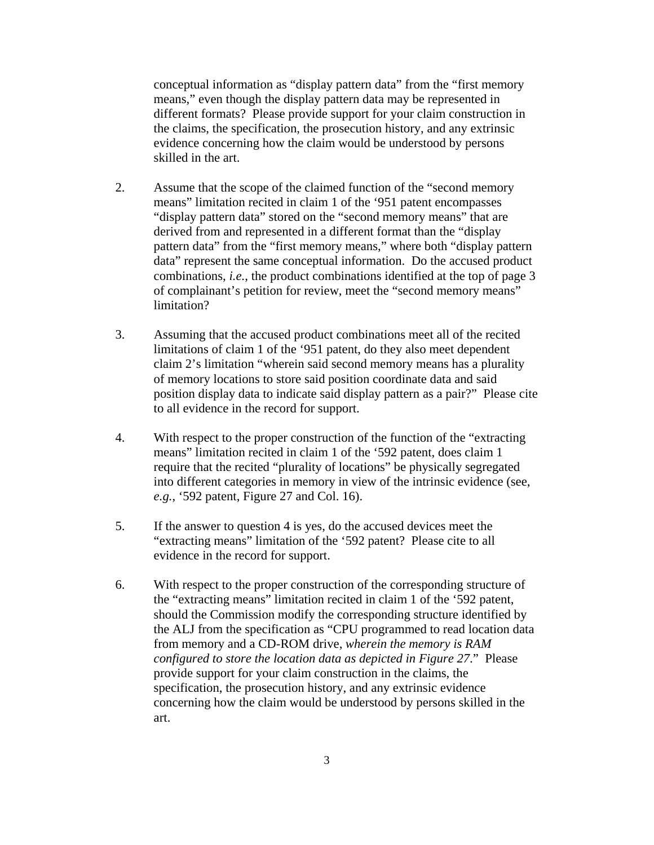conceptual information as "display pattern data" from the "first memory means," even though the display pattern data may be represented in different formats? Please provide support for your claim construction in the claims, the specification, the prosecution history, and any extrinsic evidence concerning how the claim would be understood by persons skilled in the art.

- 2. Assume that the scope of the claimed function of the "second memory means" limitation recited in claim 1 of the '951 patent encompasses "display pattern data" stored on the "second memory means" that are derived from and represented in a different format than the "display pattern data" from the "first memory means," where both "display pattern data" represent the same conceptual information. Do the accused product combinations, *i.e.*, the product combinations identified at the top of page 3 of complainant's petition for review, meet the "second memory means" limitation?
- 3. Assuming that the accused product combinations meet all of the recited limitations of claim 1 of the '951 patent, do they also meet dependent claim 2's limitation "wherein said second memory means has a plurality of memory locations to store said position coordinate data and said position display data to indicate said display pattern as a pair?" Please cite to all evidence in the record for support.
- 4. With respect to the proper construction of the function of the "extracting means" limitation recited in claim 1 of the '592 patent, does claim 1 require that the recited "plurality of locations" be physically segregated into different categories in memory in view of the intrinsic evidence (see, *e.g.*, '592 patent, Figure 27 and Col. 16).
- 5. If the answer to question 4 is yes, do the accused devices meet the "extracting means" limitation of the '592 patent?Please cite to all evidence in the record for support.
- 6. With respect to the proper construction of the corresponding structure of the "extracting means" limitation recited in claim 1 of the '592 patent, should the Commission modify the corresponding structure identified by the ALJ from the specification as "CPU programmed to read location data from memory and a CD-ROM drive, *wherein the memory is RAM configured to store the location data as depicted in Figure 27*." Please provide support for your claim construction in the claims, the specification, the prosecution history, and any extrinsic evidence concerning how the claim would be understood by persons skilled in the art.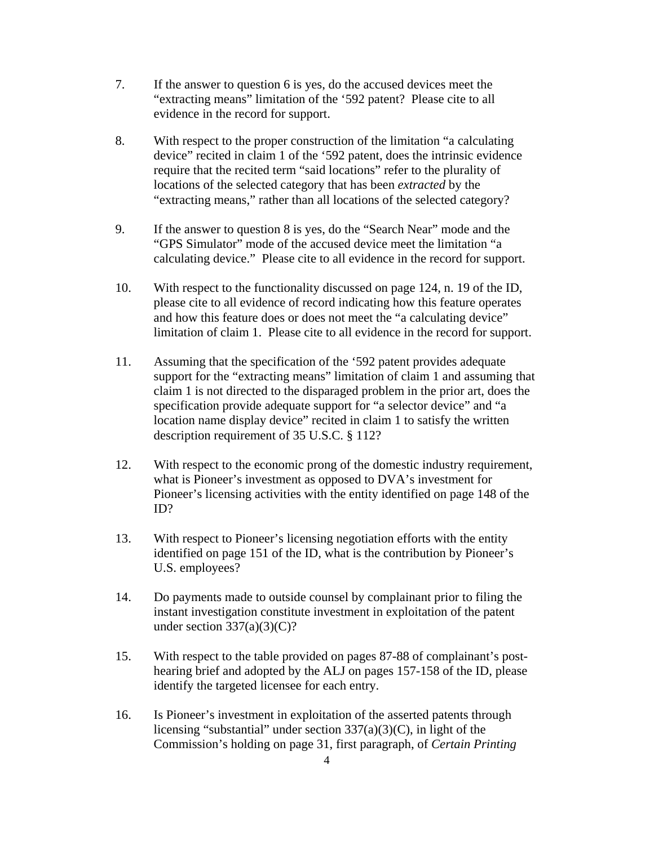- 7. If the answer to question 6 is yes, do the accused devices meet the "extracting means" limitation of the '592 patent?Please cite to all evidence in the record for support.
- 8. With respect to the proper construction of the limitation "a calculating device" recited in claim 1 of the '592 patent, does the intrinsic evidence require that the recited term "said locations" refer to the plurality of locations of the selected category that has been *extracted* by the "extracting means," rather than all locations of the selected category?
- 9. If the answer to question 8 is yes, do the "Search Near" mode and the "GPS Simulator" mode of the accused device meet the limitation "a calculating device." Please cite to all evidence in the record for support.
- 10. With respect to the functionality discussed on page 124, n. 19 of the ID, please cite to all evidence of record indicating how this feature operates and how this feature does or does not meet the "a calculating device" limitation of claim 1. Please cite to all evidence in the record for support.
- 11. Assuming that the specification of the '592 patent provides adequate support for the "extracting means" limitation of claim 1 and assuming that claim 1 is not directed to the disparaged problem in the prior art, does the specification provide adequate support for "a selector device" and "a location name display device" recited in claim 1 to satisfy the written description requirement of 35 U.S.C. § 112?
- 12. With respect to the economic prong of the domestic industry requirement, what is Pioneer's investment as opposed to DVA's investment for Pioneer's licensing activities with the entity identified on page 148 of the ID?
- 13. With respect to Pioneer's licensing negotiation efforts with the entity identified on page 151 of the ID, what is the contribution by Pioneer's U.S. employees?
- 14. Do payments made to outside counsel by complainant prior to filing the instant investigation constitute investment in exploitation of the patent under section  $337(a)(3)(C)$ ?
- 15. With respect to the table provided on pages 87-88 of complainant's posthearing brief and adopted by the ALJ on pages 157-158 of the ID, please identify the targeted licensee for each entry.
- 16. Is Pioneer's investment in exploitation of the asserted patents through licensing "substantial" under section 337(a)(3)(C), in light of the Commission's holding on page 31, first paragraph, of *Certain Printing*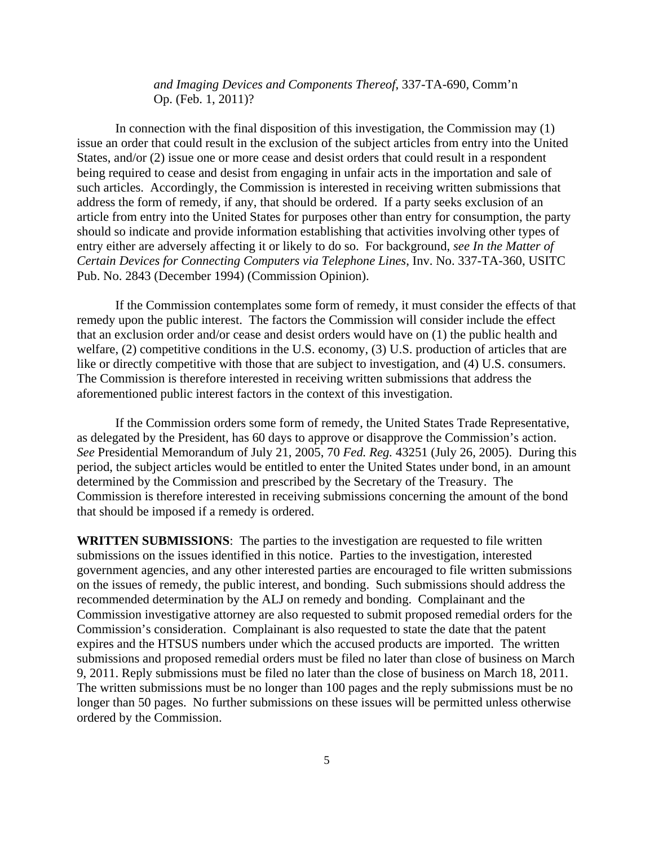*and Imaging Devices and Components Thereof*, 337-TA-690, Comm'n Op. (Feb. 1, 2011)?

In connection with the final disposition of this investigation, the Commission may (1) issue an order that could result in the exclusion of the subject articles from entry into the United States, and/or (2) issue one or more cease and desist orders that could result in a respondent being required to cease and desist from engaging in unfair acts in the importation and sale of such articles. Accordingly, the Commission is interested in receiving written submissions that address the form of remedy, if any, that should be ordered. If a party seeks exclusion of an article from entry into the United States for purposes other than entry for consumption, the party should so indicate and provide information establishing that activities involving other types of entry either are adversely affecting it or likely to do so. For background, *see In the Matter of Certain Devices for Connecting Computers via Telephone Lines*, Inv. No. 337-TA-360, USITC Pub. No. 2843 (December 1994) (Commission Opinion).

If the Commission contemplates some form of remedy, it must consider the effects of that remedy upon the public interest. The factors the Commission will consider include the effect that an exclusion order and/or cease and desist orders would have on (1) the public health and welfare, (2) competitive conditions in the U.S. economy, (3) U.S. production of articles that are like or directly competitive with those that are subject to investigation, and (4) U.S. consumers. The Commission is therefore interested in receiving written submissions that address the aforementioned public interest factors in the context of this investigation.

If the Commission orders some form of remedy, the United States Trade Representative, as delegated by the President, has 60 days to approve or disapprove the Commission's action. *See* Presidential Memorandum of July 21, 2005, 70 *Fed. Reg.* 43251 (July 26, 2005). During this period, the subject articles would be entitled to enter the United States under bond, in an amount determined by the Commission and prescribed by the Secretary of the Treasury. The Commission is therefore interested in receiving submissions concerning the amount of the bond that should be imposed if a remedy is ordered.

**WRITTEN SUBMISSIONS**:The parties to the investigation are requested to file written submissions on the issues identified in this notice. Parties to the investigation, interested government agencies, and any other interested parties are encouraged to file written submissions on the issues of remedy, the public interest, and bonding. Such submissions should address the recommended determination by the ALJ on remedy and bonding. Complainant and the Commission investigative attorney are also requested to submit proposed remedial orders for the Commission's consideration. Complainant is also requested to state the date that the patent expires and the HTSUS numbers under which the accused products are imported. The written submissions and proposed remedial orders must be filed no later than close of business on March 9, 2011. Reply submissions must be filed no later than the close of business on March 18, 2011. The written submissions must be no longer than 100 pages and the reply submissions must be no longer than 50 pages. No further submissions on these issues will be permitted unless otherwise ordered by the Commission.